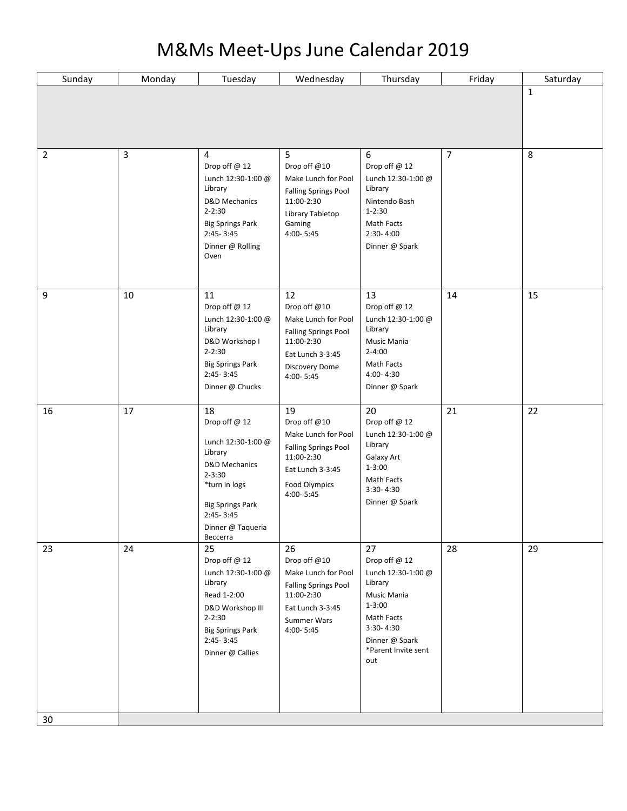## M&Ms Meet-Ups June Calendar 2019

| Sunday         | Monday         | Tuesday                                                                                                                                                                       | Wednesday                                                                                                                                 | Thursday                                                                                                                                                         | Friday         | Saturday     |
|----------------|----------------|-------------------------------------------------------------------------------------------------------------------------------------------------------------------------------|-------------------------------------------------------------------------------------------------------------------------------------------|------------------------------------------------------------------------------------------------------------------------------------------------------------------|----------------|--------------|
|                |                |                                                                                                                                                                               |                                                                                                                                           |                                                                                                                                                                  |                | $\mathbf{1}$ |
| $\overline{2}$ | $\overline{3}$ | 4<br>Drop off @ 12<br>Lunch 12:30-1:00 @<br>Library<br><b>D&amp;D Mechanics</b><br>$2 - 2:30$<br><b>Big Springs Park</b><br>2:45-3:45<br>Dinner @ Rolling<br>Oven             | 5<br>Drop off @10<br>Make Lunch for Pool<br><b>Falling Springs Pool</b><br>11:00-2:30<br>Library Tabletop<br>Gaming<br>4:00-5:45          | 6<br>Drop off @ 12<br>Lunch 12:30-1:00 @<br>Library<br>Nintendo Bash<br>$1 - 2:30$<br>Math Facts<br>$2:30 - 4:00$<br>Dinner @ Spark                              | $\overline{7}$ | 8            |
| 9              | 10             | 11<br>Drop off @ 12<br>Lunch 12:30-1:00 @<br>Library<br>D&D Workshop I<br>$2 - 2:30$<br><b>Big Springs Park</b><br>$2:45 - 3:45$<br>Dinner @ Chucks                           | 12<br>Drop off @10<br>Make Lunch for Pool<br><b>Falling Springs Pool</b><br>11:00-2:30<br>Eat Lunch 3-3:45<br>Discovery Dome<br>4:00-5:45 | 13<br>Drop off @ 12<br>Lunch 12:30-1:00 @<br>Library<br>Music Mania<br>$2 - 4:00$<br>Math Facts<br>4:00-4:30<br>Dinner @ Spark                                   | 14             | 15           |
| 16             | 17             | 18<br>Drop off @ 12<br>Lunch 12:30-1:00 @<br>Library<br>D&D Mechanics<br>$2 - 3:30$<br>*turn in logs<br><b>Big Springs Park</b><br>2:45-3:45<br>Dinner @ Taqueria<br>Beccerra | 19<br>Drop off @10<br>Make Lunch for Pool<br><b>Falling Springs Pool</b><br>11:00-2:30<br>Eat Lunch 3-3:45<br>Food Olympics<br>4:00-5:45  | 20<br>Drop off @ 12<br>Lunch 12:30-1:00 @<br>Library<br>Galaxy Art<br>$1 - 3:00$<br>Math Facts<br>3:30-4:30<br>Dinner @ Spark                                    | 21             | 22           |
| 23             | 24             | 25<br>Drop off @ 12<br>Lunch 12:30-1:00 @<br>Library<br>Read 1-2:00<br>D&D Workshop III<br>$2 - 2:30$<br><b>Big Springs Park</b><br>$2:45 - 3:45$<br>Dinner @ Callies         | 26<br>Drop off @10<br>Make Lunch for Pool<br>Falling Springs Pool<br>11:00-2:30<br>Eat Lunch 3-3:45<br>Summer Wars<br>4:00-5:45           | 27<br>Drop off @ 12<br>Lunch 12:30-1:00 @<br>Library<br>Music Mania<br>$1 - 3:00$<br>Math Facts<br>$3:30 - 4:30$<br>Dinner @ Spark<br>*Parent Invite sent<br>out | 28             | 29           |
| 30             |                |                                                                                                                                                                               |                                                                                                                                           |                                                                                                                                                                  |                |              |